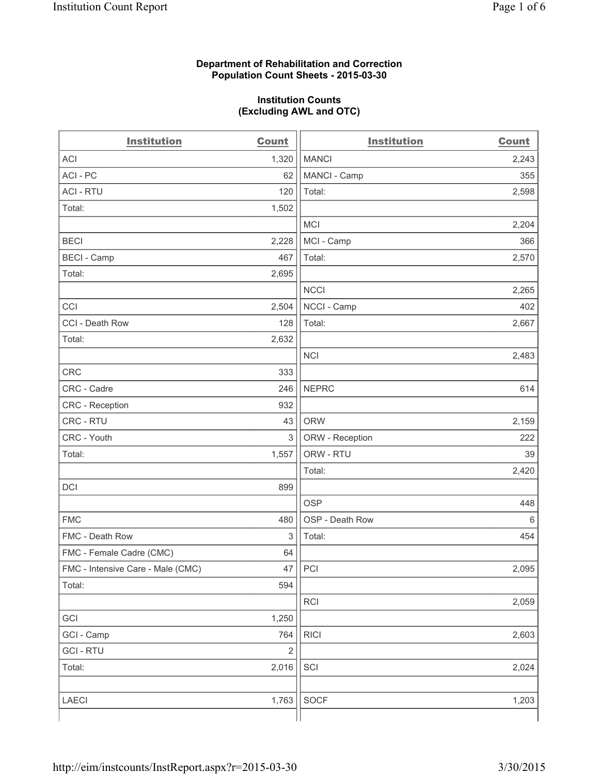### **Department of Rehabilitation and Correction Population Count Sheets - 2015-03-30**

### **Institution Counts (Excluding AWL and OTC)**

| <b>Institution</b>                | <b>Count</b>   | <b>Institution</b> | <b>Count</b> |
|-----------------------------------|----------------|--------------------|--------------|
| <b>ACI</b>                        | 1,320          | <b>MANCI</b>       | 2,243        |
| ACI-PC                            | 62             | MANCI - Camp       | 355          |
| <b>ACI - RTU</b>                  | 120            | Total:             | 2,598        |
| Total:                            | 1,502          |                    |              |
|                                   |                | <b>MCI</b>         | 2,204        |
| <b>BECI</b>                       | 2,228          | MCI - Camp         | 366          |
| <b>BECI - Camp</b>                | 467            | Total:             | 2,570        |
| Total:                            | 2,695          |                    |              |
|                                   |                | <b>NCCI</b>        | 2,265        |
| CCI                               | 2,504          | NCCI - Camp        | 402          |
| CCI - Death Row                   | 128            | Total:             | 2,667        |
| Total:                            | 2,632          |                    |              |
|                                   |                | <b>NCI</b>         | 2,483        |
| <b>CRC</b>                        | 333            |                    |              |
| CRC - Cadre                       | 246            | <b>NEPRC</b>       | 614          |
| CRC - Reception                   | 932            |                    |              |
| CRC - RTU                         | 43             | <b>ORW</b>         | 2,159        |
| CRC - Youth                       | 3              | ORW - Reception    | 222          |
| Total:                            | 1,557          | ORW - RTU          | 39           |
|                                   |                | Total:             | 2,420        |
| DCI                               | 899            |                    |              |
|                                   |                | <b>OSP</b>         | 448          |
| <b>FMC</b>                        | 480            | OSP - Death Row    | $\,6\,$      |
| FMC - Death Row                   | 3              | Total:             | 454          |
| FMC - Female Cadre (CMC)          | 64             |                    |              |
| FMC - Intensive Care - Male (CMC) | 47             | PCI                | 2,095        |
| Total:                            | 594            |                    |              |
|                                   |                | RCI                | 2,059        |
| GCI                               | 1,250          |                    |              |
| GCI - Camp                        | 764            | <b>RICI</b>        | 2,603        |
| <b>GCI-RTU</b>                    | $\overline{2}$ |                    |              |
| Total:                            | 2,016          | SCI                | 2,024        |
|                                   |                |                    |              |
| LAECI                             | 1,763          | <b>SOCF</b>        | 1,203        |
|                                   |                |                    |              |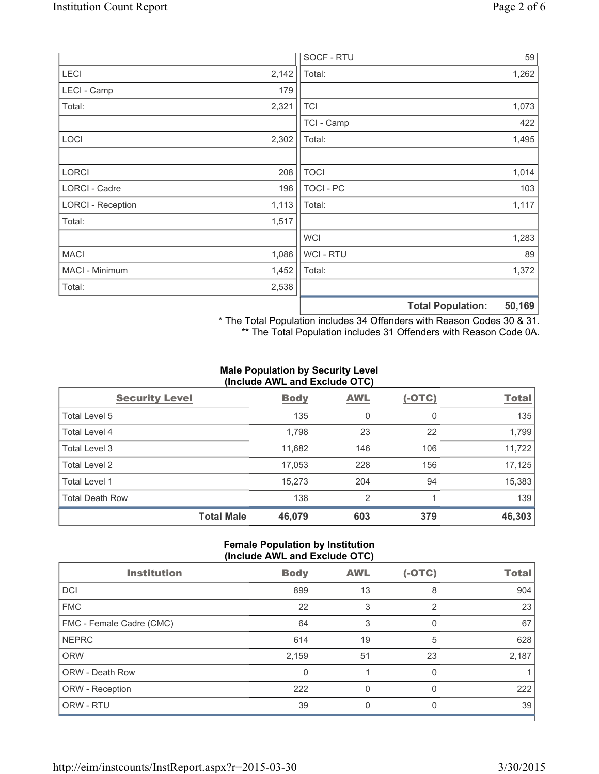|                          |       | SOCF - RTU     |                          | 59     |
|--------------------------|-------|----------------|--------------------------|--------|
| LECI                     | 2,142 | Total:         |                          | 1,262  |
| LECI - Camp              | 179   |                |                          |        |
| Total:                   | 2,321 | <b>TCI</b>     |                          | 1,073  |
|                          |       | TCI - Camp     |                          | 422    |
| LOCI                     | 2,302 | Total:         |                          | 1,495  |
|                          |       |                |                          |        |
| <b>LORCI</b>             | 208   | <b>TOCI</b>    |                          | 1,014  |
| LORCI - Cadre            | 196   | TOCI - PC      |                          | 103    |
| <b>LORCI - Reception</b> | 1,113 | Total:         |                          | 1,117  |
| Total:                   | 1,517 |                |                          |        |
|                          |       | <b>WCI</b>     |                          | 1,283  |
| <b>MACI</b>              | 1,086 | <b>WCI-RTU</b> |                          | 89     |
| MACI - Minimum           | 1,452 | Total:         |                          | 1,372  |
| Total:                   | 2,538 |                |                          |        |
|                          |       |                | <b>Total Population:</b> | 50,169 |

\* The Total Population includes 34 Offenders with Reason Codes 30 & 31.

\*\* The Total Population includes 31 Offenders with Reason Code 0A.

### **Male Population by Security Level (Include AWL and Exclude OTC)**

| <b>Security Level</b>  | <b>Body</b>                 | <b>AWL</b>     | $(-OTC)$ | <b>Total</b> |
|------------------------|-----------------------------|----------------|----------|--------------|
| Total Level 5          | 135                         | 0              | 0        | 135          |
| <b>Total Level 4</b>   | 1,798                       | 23             | 22       | 1,799        |
| Total Level 3          | 11,682                      | 146            | 106      | 11,722       |
| Total Level 2          | 17,053                      | 228            | 156      | 17,125       |
| Total Level 1          | 15,273                      | 204            | 94       | 15,383       |
| <b>Total Death Row</b> | 138                         | $\overline{2}$ |          | 139          |
|                        | <b>Total Male</b><br>46,079 | 603            | 379      | 46,303       |

### **Female Population by Institution (Include AWL and Exclude OTC)**

| <b>Institution</b>       | <b>Body</b>  | <b>AWL</b> | $(-OTC)$       | <b>Total</b> |
|--------------------------|--------------|------------|----------------|--------------|
| <b>DCI</b>               | 899          | 13         | 8              | 904          |
| <b>FMC</b>               | 22           | 3          | $\overline{2}$ | 23           |
| FMC - Female Cadre (CMC) | 64           | 3          | 0              | 67           |
| <b>NEPRC</b>             | 614          | 19         | 5              | 628          |
| <b>ORW</b>               | 2,159        | 51         | 23             | 2,187        |
| <b>ORW - Death Row</b>   | $\mathbf{0}$ |            | 0              |              |
| ORW - Reception          | 222          | 0          | 0              | 222          |
| ORW - RTU                | 39           | 0          | 0              | 39           |
|                          |              |            |                |              |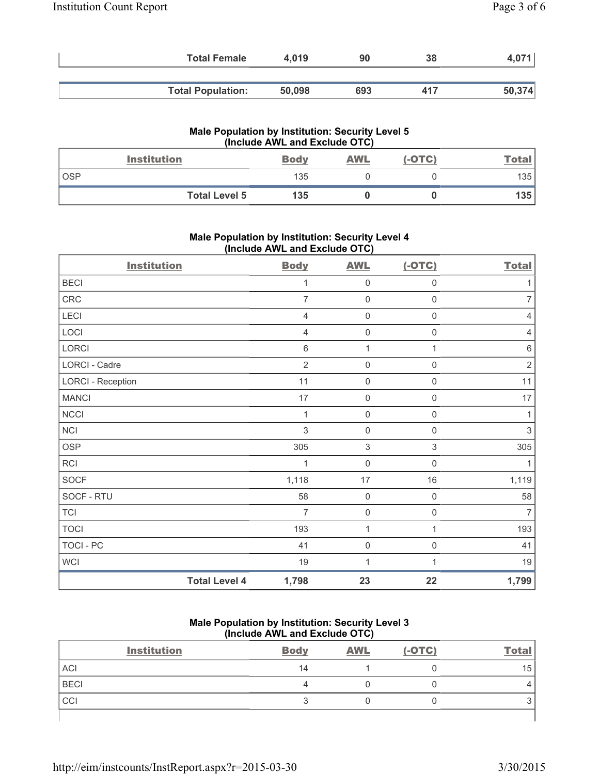| <b>Total Female</b>      | 4.019  | 90  | 38  |        |
|--------------------------|--------|-----|-----|--------|
|                          |        |     |     |        |
| <b>Total Population:</b> | 50,098 | 693 | 417 | 50,374 |

|            | Male Population by Institution: Security Level 5<br>(Include AWL and Exclude OTC) |             |            |          |       |  |
|------------|-----------------------------------------------------------------------------------|-------------|------------|----------|-------|--|
|            | <b>Institution</b>                                                                | <b>Body</b> | <b>AWL</b> | $(-OTC)$ | Total |  |
| <b>OSP</b> |                                                                                   | 135         |            |          | 135 l |  |
|            | <b>Total Level 5</b>                                                              | 135         |            |          | 135   |  |

## **Male Population by Institution: Security Level 4 (Include AWL and Exclude OTC)**

| <b>Institution</b>       |                      | <b>Body</b>    | <b>AWL</b>          | $(-OTC)$            | <b>Total</b>   |
|--------------------------|----------------------|----------------|---------------------|---------------------|----------------|
| <b>BECI</b>              |                      | 1              | $\mathbf 0$         | $\mathbf 0$         |                |
| CRC                      |                      | $\overline{7}$ | $\mathbf 0$         | $\mathsf{O}\xspace$ | $\overline{7}$ |
| LECI                     |                      | $\overline{4}$ | $\mathsf{O}\xspace$ | $\boldsymbol{0}$    | 4              |
| LOCI                     |                      | 4              | $\mathsf 0$         | $\mathbf 0$         | 4              |
| LORCI                    |                      | 6              | $\mathbf 1$         | 1                   | 6              |
| LORCI - Cadre            |                      | $\overline{2}$ | $\mathbf 0$         | $\mathbf 0$         | $\overline{2}$ |
| <b>LORCI - Reception</b> |                      | 11             | $\mathsf{O}\xspace$ | $\mathbf 0$         | 11             |
| <b>MANCI</b>             |                      | 17             | $\mathsf{O}\xspace$ | $\mathsf{O}\xspace$ | 17             |
| NCCI                     |                      | 1              | $\mathsf 0$         | $\boldsymbol{0}$    | 1              |
| NCI                      |                      | 3              | $\mathbf 0$         | $\mathbf 0$         | 3              |
| <b>OSP</b>               |                      | 305            | 3                   | $\,$ 3 $\,$         | 305            |
| RCI                      |                      | 1              | $\mathbf 0$         | $\mathbf 0$         | 1              |
| SOCF                     |                      | 1,118          | 17                  | 16                  | 1,119          |
| SOCF - RTU               |                      | 58             | $\mathbf 0$         | $\mathbf 0$         | 58             |
| <b>TCI</b>               |                      | $\overline{7}$ | $\mathbf 0$         | $\mathsf 0$         | $\overline{7}$ |
| <b>TOCI</b>              |                      | 193            | 1                   | 1                   | 193            |
| TOCI - PC                |                      | 41             | 0                   | $\mathbf 0$         | 41             |
| <b>WCI</b>               |                      | 19             | 1                   | 1                   | 19             |
|                          | <b>Total Level 4</b> | 1,798          | 23                  | 22                  | 1,799          |

# **Male Population by Institution: Security Level 3 (Include AWL and Exclude OTC)**

| <b>Institution</b> | <b>Body</b> | <b>AWL</b> | $(-OTC)$ | <b>Total</b> |
|--------------------|-------------|------------|----------|--------------|
| <b>ACI</b>         | 14          |            |          | 15           |
| <b>BECI</b>        | ⊿           |            |          |              |
| CCI                |             |            |          |              |
|                    |             |            |          |              |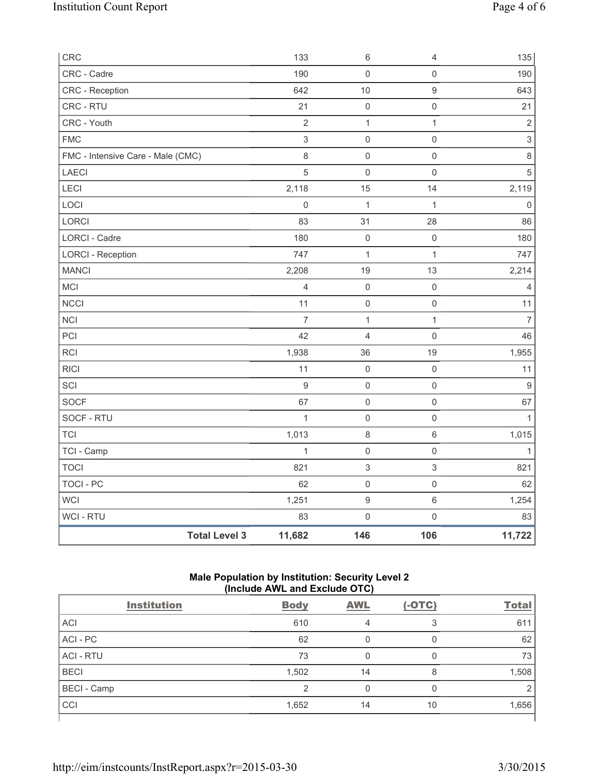| CRC                               |                      | 133              | 6                   | $\overline{4}$      | 135                       |
|-----------------------------------|----------------------|------------------|---------------------|---------------------|---------------------------|
| CRC - Cadre                       |                      | 190              | $\mathsf{O}\xspace$ | $\mathsf{O}\xspace$ | 190                       |
| CRC - Reception                   |                      | 642              | 10                  | $\boldsymbol{9}$    | 643                       |
| CRC - RTU                         |                      | 21               | $\mathsf{O}\xspace$ | $\mathsf 0$         | 21                        |
| CRC - Youth                       |                      | $\sqrt{2}$       | $\mathbf{1}$        | $\mathbf{1}$        | $\sqrt{2}$                |
| <b>FMC</b>                        |                      | $\,$ 3 $\,$      | $\mathsf{O}\xspace$ | $\mathbf 0$         | $\ensuremath{\mathsf{3}}$ |
| FMC - Intensive Care - Male (CMC) |                      | 8                | $\mathbf 0$         | $\mathbf 0$         | $\,8\,$                   |
| LAECI                             |                      | 5                | $\mathsf{O}\xspace$ | $\mathbf 0$         | $\sqrt{5}$                |
| <b>LECI</b>                       |                      | 2,118            | 15                  | 14                  | 2,119                     |
| LOCI                              |                      | $\mathbf 0$      | $\mathbf{1}$        | $\mathbf{1}$        | $\mathbf{0}$              |
| LORCI                             |                      | 83               | 31                  | 28                  | 86                        |
| <b>LORCI - Cadre</b>              |                      | 180              | $\mathsf{O}\xspace$ | $\mathsf 0$         | 180                       |
| <b>LORCI - Reception</b>          |                      | 747              | $\mathbf{1}$        | $\mathbf{1}$        | 747                       |
| <b>MANCI</b>                      |                      | 2,208            | 19                  | 13                  | 2,214                     |
| MCI                               |                      | $\overline{4}$   | $\mathsf{O}\xspace$ | $\mathsf 0$         | $\overline{4}$            |
| <b>NCCI</b>                       |                      | 11               | $\mathsf 0$         | $\mathsf 0$         | 11                        |
| <b>NCI</b>                        |                      | $\overline{7}$   | $\mathbf{1}$        | $\mathbf{1}$        | $\overline{7}$            |
| PCI                               |                      | 42               | 4                   | $\mathsf 0$         | 46                        |
| <b>RCI</b>                        |                      | 1,938            | 36                  | 19                  | 1,955                     |
| <b>RICI</b>                       |                      | 11               | $\mathsf{O}\xspace$ | $\mathsf 0$         | 11                        |
| SCI                               |                      | $\boldsymbol{9}$ | $\mathsf{O}\xspace$ | $\mathsf 0$         | $\overline{9}$            |
| <b>SOCF</b>                       |                      | 67               | $\mathsf{O}\xspace$ | $\mathsf 0$         | 67                        |
| SOCF - RTU                        |                      | $\mathbf{1}$     | $\mathsf{O}\xspace$ | $\mathsf 0$         | $\mathbf{1}$              |
| <b>TCI</b>                        |                      | 1,013            | $\,8\,$             | $\,6\,$             | 1,015                     |
| TCI - Camp                        |                      | $\mathbf{1}$     | $\mathsf{O}\xspace$ | $\mathsf{O}\xspace$ | $\mathbf{1}$              |
| <b>TOCI</b>                       |                      | 821              | $\mathsf 3$         | $\mathsf 3$         | 821                       |
| <b>TOCI - PC</b>                  |                      | 62               | $\mathsf{O}\xspace$ | $\mathsf{O}\xspace$ | 62                        |
| WCI                               |                      | 1,251            | $\boldsymbol{9}$    | $\,6\,$             | 1,254                     |
| <b>WCI-RTU</b>                    |                      | 83               | $\mathsf{O}\xspace$ | $\mathsf{O}\xspace$ | 83                        |
|                                   | <b>Total Level 3</b> | 11,682           | 146                 | 106                 | 11,722                    |

## **Male Population by Institution: Security Level 2 (Include AWL and Exclude OTC)**

| <b>Institution</b> | <b>Body</b> | <b>AWL</b> | $(-OTC)$ | <b>Total</b> |  |  |
|--------------------|-------------|------------|----------|--------------|--|--|
| <b>ACI</b>         | 610         | 4          | З        | 611          |  |  |
| ACI-PC             | 62          | 0          | 0        | 62           |  |  |
| <b>ACI - RTU</b>   | 73          |            | 0        | 73           |  |  |
| <b>BECI</b>        | 1,502       | 14         | 8        | 1,508        |  |  |
| <b>BECI</b> - Camp | 2           | 0          | 0        |              |  |  |
| CCI                | 1,652       | 14         | 10       | 1,656        |  |  |
|                    |             |            |          |              |  |  |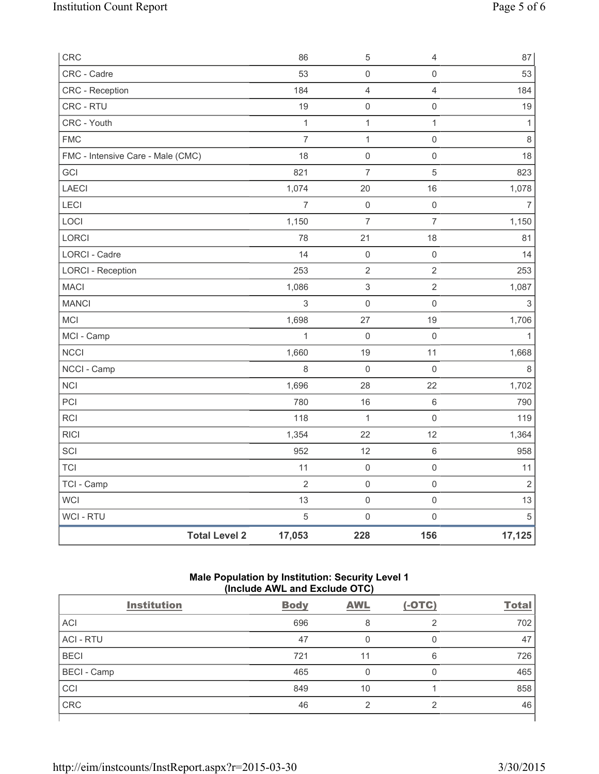| CRC                               |                      | 86             | $\,$ 5 $\,$               | 4                   | 87                        |
|-----------------------------------|----------------------|----------------|---------------------------|---------------------|---------------------------|
| CRC - Cadre                       |                      | 53             | $\mathsf{O}\xspace$       | $\mathsf{O}\xspace$ | 53                        |
| CRC - Reception                   |                      | 184            | $\overline{4}$            | $\overline{4}$      | 184                       |
| CRC - RTU                         |                      | 19             | $\mathsf{O}\xspace$       | $\mathsf{O}\xspace$ | 19                        |
| CRC - Youth                       |                      | $\mathbf{1}$   | $\mathbf 1$               | $\mathbf{1}$        | $\mathbf{1}$              |
| <b>FMC</b>                        |                      | $\overline{7}$ | $\mathbf 1$               | 0                   | $\,8\,$                   |
| FMC - Intensive Care - Male (CMC) |                      | 18             | $\mathsf{O}\xspace$       | $\mathsf 0$         | 18                        |
| GCI                               |                      | 821            | $\overline{7}$            | 5                   | 823                       |
| <b>LAECI</b>                      |                      | 1,074          | 20                        | 16                  | 1,078                     |
| LECI                              |                      | $\overline{7}$ | $\mathsf{O}\xspace$       | $\mathsf 0$         | $\overline{7}$            |
| LOCI                              |                      | 1,150          | $\overline{7}$            | $\overline{7}$      | 1,150                     |
| <b>LORCI</b>                      |                      | 78             | 21                        | 18                  | 81                        |
| LORCI - Cadre                     |                      | 14             | $\mathsf{O}\xspace$       | $\mathsf{O}\xspace$ | 14                        |
| <b>LORCI - Reception</b>          |                      | 253            | $\mathbf{2}$              | $\mathbf 2$         | 253                       |
| <b>MACI</b>                       |                      | 1,086          | $\ensuremath{\mathsf{3}}$ | $\overline{2}$      | 1,087                     |
| <b>MANCI</b>                      |                      | $\mathsf 3$    | $\mathsf{O}\xspace$       | $\mathsf 0$         | $\ensuremath{\mathsf{3}}$ |
| MCI                               |                      | 1,698          | 27                        | 19                  | 1,706                     |
| MCI - Camp                        |                      | $\mathbf{1}$   | $\mathsf{O}\xspace$       | $\mathbf 0$         | $\mathbf{1}$              |
| <b>NCCI</b>                       |                      | 1,660          | 19                        | 11                  | 1,668                     |
| NCCI - Camp                       |                      | 8              | 0                         | $\mathbf 0$         | $\,8\,$                   |
| <b>NCI</b>                        |                      | 1,696          | 28                        | 22                  | 1,702                     |
| PCI                               |                      | 780            | 16                        | $\,6\,$             | 790                       |
| <b>RCI</b>                        |                      | 118            | $\mathbf{1}$              | $\mathsf{O}\xspace$ | 119                       |
| <b>RICI</b>                       |                      | 1,354          | 22                        | 12                  | 1,364                     |
| SCI                               |                      | 952            | 12                        | $\,6\,$             | 958                       |
| <b>TCI</b>                        |                      | 11             | $\mathsf{O}\xspace$       | $\mathsf{O}\xspace$ | 11                        |
| TCI - Camp                        |                      | $\overline{2}$ | $\mathsf 0$               | $\mathsf{O}\xspace$ | $\overline{2}$            |
| WCI                               |                      | 13             | $\mathsf{O}\xspace$       | $\mathsf{O}\xspace$ | 13                        |
| <b>WCI-RTU</b>                    |                      | $\sqrt{5}$     | $\mathsf{O}\xspace$       | $\mathsf{O}\xspace$ | $\overline{5}$            |
|                                   | <b>Total Level 2</b> | 17,053         | 228                       | 156                 | 17,125                    |

# **Male Population by Institution: Security Level 1 (Include AWL and Exclude OTC)**

|                    | $(111919997111 = 0.119121010100001101)$ |            |          |              |
|--------------------|-----------------------------------------|------------|----------|--------------|
| <b>Institution</b> | <b>Body</b>                             | <b>AWL</b> | $(-OTC)$ | <b>Total</b> |
| <b>ACI</b>         | 696                                     | 8          | っ        | 702          |
| <b>ACI - RTU</b>   | 47                                      |            | 0        | 47           |
| <b>BECI</b>        | 721                                     | 11         | 6        | 726          |
| <b>BECI</b> - Camp | 465                                     | O          | $\Omega$ | 465          |
| CCI                | 849                                     | 10         |          | 858          |
| <b>CRC</b>         | 46                                      | 2          | 2        | 46           |
|                    |                                         |            |          |              |